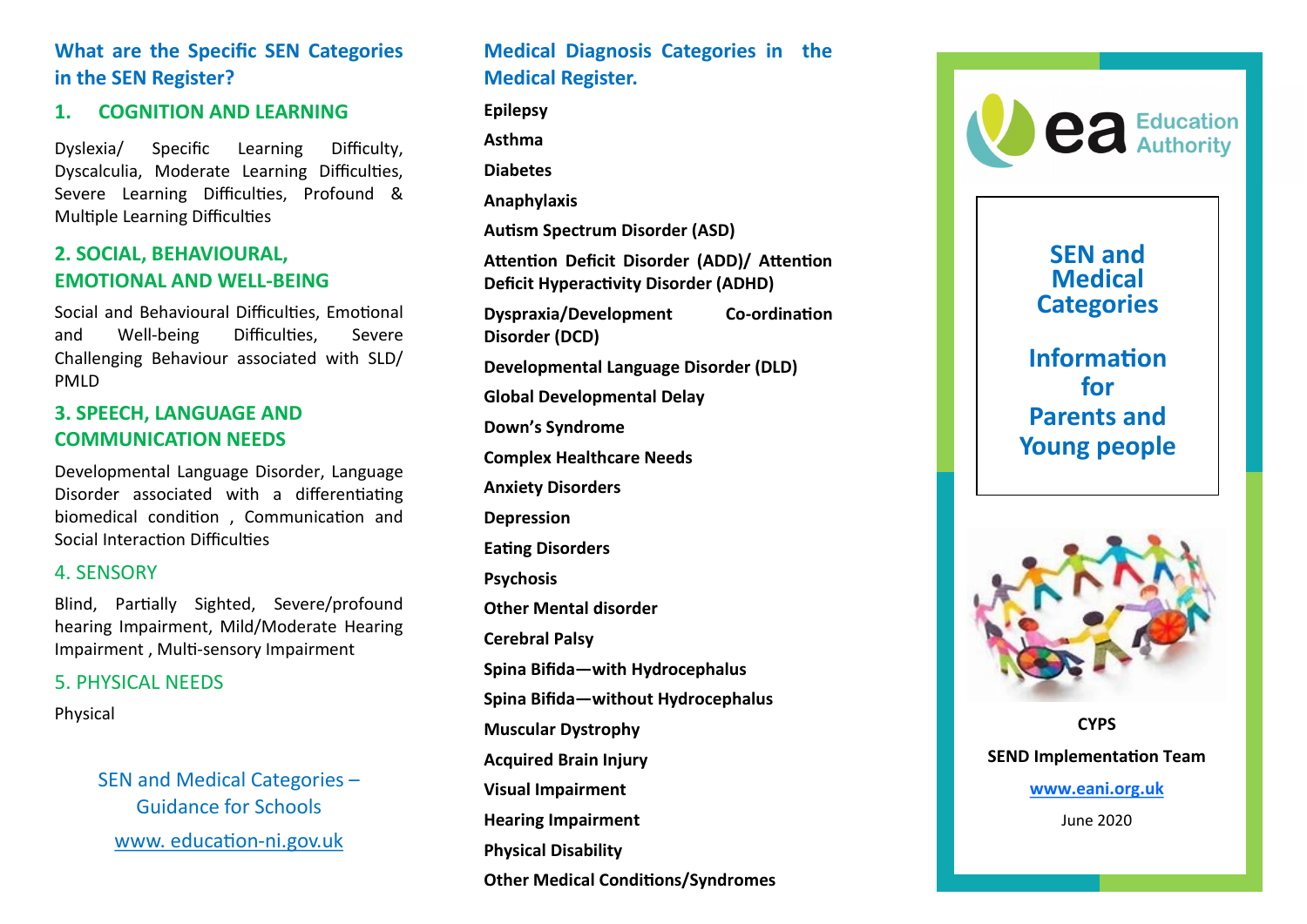# **What are the Specific SEN Categories in the SEN Register?**

## **1. COGNITION AND LEARNING**

Dyslexia/ Specific Learning Difficulty, Dyscalculia, Moderate Learning Difficulties, Severe Learning Difficulties, Profound & Multiple Learning Difficulties

# **2. SOCIAL, BEHAVIOURAL, EMOTIONAL AND WELL -BEING**

Social and Behavioural Difficulties, Emotional and Well Difficulties. Severe Challenging Behaviour associated with SLD/ PMLD

## **3. SPEECH, LANGUAGE AND COMMUNICATION NEEDS**

Developmental Language Disorder, Language Disorder associated with a differentiating biomedical condition , Communication and Social Interaction Difficulties

#### 4. SENSORY

Blind, Partially Sighted, Severe/profound hearing Impairment, Mild/Moderate Hearing Impairment , Multi -sensory Impairment

#### 5. PHYSICAL NEEDS

Physical

SEN and Medical Categories – Guidance for Schools www. education-ni.gov.uk

# **Medical Diagnosis Categories in the Medical Register.**

**Epilepsy Asthma Diabetes Anaphylaxis Autism Spectrum Disorder (ASD) Attention Deficit Disorder (ADD)/ Attention Deficit Hyperactivity Disorder (ADHD) Dyspraxia/Development -ordination Disorder (DCD) Developmental Language Disorder (DLD) Global Developmental Delay Down 's Syndrome Complex Healthcare Needs Anxiety Disorders Depression Eating Disorders Psychosis Other Mental disorder Cerebral Palsy Spina Bifida —with Hydrocephalus Spina Bifida —without Hydrocephalus Muscular Dystrophy Acquired Brain Injury Visual Impairment Hearing Impairment Physical Disability Other Medical Conditions/Syndromes**



# **SEN and Medical Categories**

**Information for Parents and Young people** 



**CYPS SEND Implementation Team [www.eani.org.uk](http://www.eani.org.uk)** June 2020